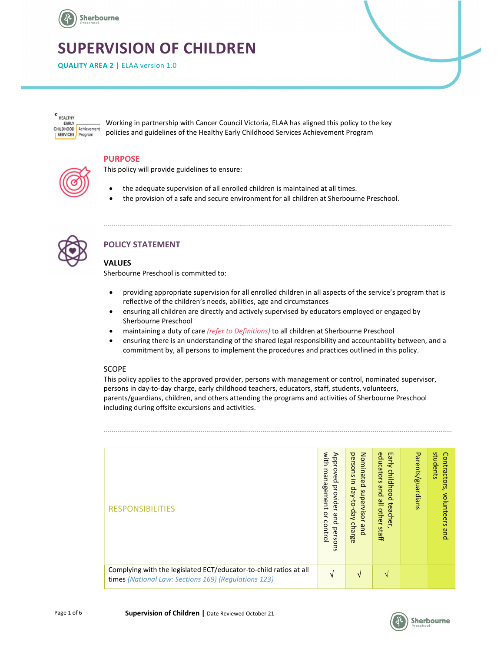

# SUPERVISION OF CHILDREN

QUALITY AREA 2 | ELAA version 1.0

HEALTHY **FARLY** CHILDHOOD Achievement SERVICES Program

Working in partnership with Cancer Council Victoria, ELAA has aligned this policy to the key policies and guidelines of the Healthy Early Childhood Services Achievement Program

#### PURPOSE

This policy will provide guidelines to ensure:

- the adequate supervision of all enrolled children is maintained at all times.
- the provision of a safe and secure environment for all children at Sherbourne Preschool.



# POLICY STATEMENT

#### VALUES

Sherbourne Preschool is committed to:

- providing appropriate supervision for all enrolled children in all aspects of the service's program that is reflective of the children's needs, abilities, age and circumstances
- ensuring all children are directly and actively supervised by educators employed or engaged by Sherbourne Preschool
- maintaining a duty of care *(refer to Definitions)* to all children at Sherbourne Preschool
- ensuring there is an understanding of the shared legal responsibility and accountability between, and a commitment by, all persons to implement the procedures and practices outlined in this policy.

#### SCOPE

This policy applies to the approved provider, persons with management or control, nominated supervisor, persons in day-to-day charge, early childhood teachers, educators, staff, students, volunteers, parents/guardians, children, and others attending the programs and activities of Sherbourne Preschool including during offsite excursions and activities.

| with<br>Early                                                                                                                                                                                                                                                                                                 |
|---------------------------------------------------------------------------------------------------------------------------------------------------------------------------------------------------------------------------------------------------------------------------------------------------------------|
| students<br>Approved<br>Nominated<br>Parents/guardians<br>persons in<br>educators<br>Contractors,<br>uew<br>childhood<br>agement<br>provider<br>pue<br>day-to-day<br>supervisor<br>volunteers<br>all other staff<br>teacher<br><b>RESPONSIBILITIES</b><br>ă<br>and persons<br>control<br>charge<br>and<br>pue |
| Complying with the legislated ECT/educator-to-child ratios at all<br>N<br>$\mathbf{v}$<br>$\mathcal{N}$<br>times (National Law: Sections 169) (Regulations 123)                                                                                                                                               |

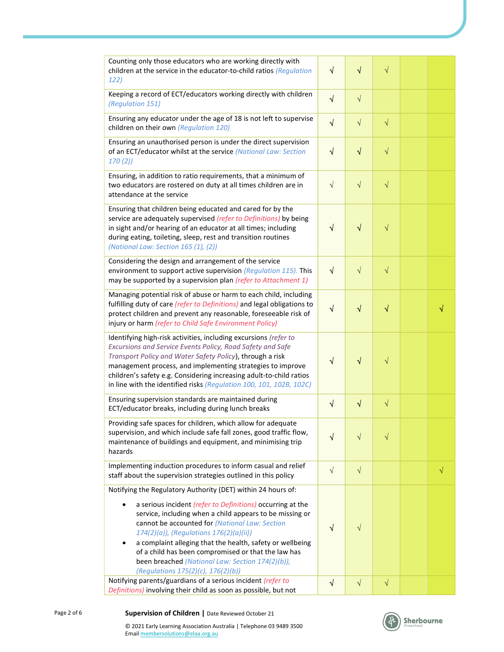| Counting only those educators who are working directly with<br>children at the service in the educator-to-child ratios (Regulation<br>122)                                                                                                                                                                                                                                                              | $\sqrt{}$  | $\sqrt{}$  | $\sqrt{}$          |           |
|---------------------------------------------------------------------------------------------------------------------------------------------------------------------------------------------------------------------------------------------------------------------------------------------------------------------------------------------------------------------------------------------------------|------------|------------|--------------------|-----------|
| Keeping a record of ECT/educators working directly with children<br>(Regulation 151)                                                                                                                                                                                                                                                                                                                    | $\sqrt{ }$ | $\sqrt{ }$ |                    |           |
| Ensuring any educator under the age of 18 is not left to supervise<br>children on their own (Regulation 120)                                                                                                                                                                                                                                                                                            |            | $\sqrt{}$  | $\sqrt{}$          |           |
| Ensuring an unauthorised person is under the direct supervision<br>of an ECT/educator whilst at the service (National Law: Section<br>170(2)                                                                                                                                                                                                                                                            | $\sqrt{}$  | $\sqrt{}$  | $\sqrt{}$          |           |
| Ensuring, in addition to ratio requirements, that a minimum of<br>two educators are rostered on duty at all times children are in<br>attendance at the service                                                                                                                                                                                                                                          | $\sqrt{ }$ | $\sqrt{}$  | $\sqrt{}$          |           |
| Ensuring that children being educated and cared for by the<br>service are adequately supervised (refer to Definitions) by being<br>in sight and/or hearing of an educator at all times; including<br>during eating, toileting, sleep, rest and transition routines<br>(National Law: Section 165 (1), (2))                                                                                              | √          | $\sqrt{}$  | $\sqrt{}$          |           |
| Considering the design and arrangement of the service<br>environment to support active supervision (Regulation 115). This<br>may be supported by a supervision plan (refer to Attachment 1)                                                                                                                                                                                                             | $\sqrt{}$  | $\sqrt{}$  | $\sqrt{}$          |           |
| Managing potential risk of abuse or harm to each child, including<br>fulfilling duty of care (refer to Definitions) and legal obligations to<br>protect children and prevent any reasonable, foreseeable risk of<br>injury or harm (refer to Child Safe Environment Policy)                                                                                                                             | √          | $\sqrt{}$  | √                  |           |
| Identifying high-risk activities, including excursions (refer to<br>Excursions and Service Events Policy, Road Safety and Safe<br>Transport Policy and Water Safety Policy), through a risk<br>management process, and implementing strategies to improve<br>children's safety e.g. Considering increasing adult-to-child ratios<br>in line with the identified risks (Regulation 100, 101, 102B, 102C) | $\sqrt{}$  | $\sqrt{}$  | V                  |           |
| Ensuring supervision standards are maintained during<br>ECT/educator breaks, including during lunch breaks                                                                                                                                                                                                                                                                                              | $\sqrt{}$  | $\sqrt{}$  | $\sqrt{}$          |           |
| Providing safe spaces for children, which allow for adequate<br>supervision, and which include safe fall zones, good traffic flow,<br>maintenance of buildings and equipment, and minimising trip<br>hazards                                                                                                                                                                                            | V          | $\sqrt{}$  | $\rightsquigarrow$ |           |
| Implementing induction procedures to inform casual and relief<br>staff about the supervision strategies outlined in this policy                                                                                                                                                                                                                                                                         | $\sqrt{ }$ | $\sqrt{}$  |                    | $\sqrt{}$ |
| Notifying the Regulatory Authority (DET) within 24 hours of:                                                                                                                                                                                                                                                                                                                                            |            |            |                    |           |
| a serious incident (refer to Definitions) occurring at the<br>service, including when a child appears to be missing or<br>cannot be accounted for (National Law: Section<br>174(2)(a)), (Regulations 176(2)(a)(ii))<br>a complaint alleging that the health, safety or wellbeing<br>of a child has been compromised or that the law has<br>been breached (National Law: Section 174(2)(b)),             | $\sqrt{ }$ | $\sqrt{}$  |                    |           |
| (Regulations 175(2)(c), 176(2)(b))<br>Notifying parents/guardians of a serious incident (refer to                                                                                                                                                                                                                                                                                                       | $\sqrt{ }$ | $\sqrt{}$  | $\sqrt{}$          |           |
| Definitions) involving their child as soon as possible, but not                                                                                                                                                                                                                                                                                                                                         |            |            |                    |           |

Email membersolutions@elaa.org.au

© 2021 Early Learning Association Australia | Telephone 03 9489 3500

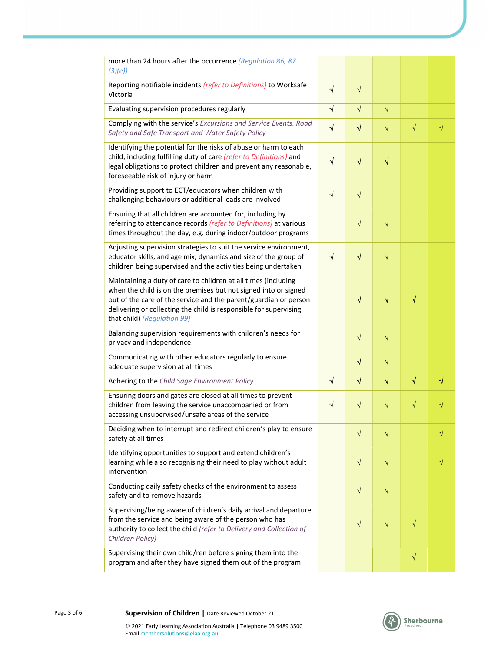| more than 24 hours after the occurrence (Regulation 86, 87<br>(3)(e)                                                                                                                                                                                                                                      |            |           |           |           |   |
|-----------------------------------------------------------------------------------------------------------------------------------------------------------------------------------------------------------------------------------------------------------------------------------------------------------|------------|-----------|-----------|-----------|---|
| Reporting notifiable incidents (refer to Definitions) to Worksafe<br>Victoria                                                                                                                                                                                                                             | $\sqrt{ }$ | $\sqrt{}$ |           |           |   |
| Evaluating supervision procedures regularly                                                                                                                                                                                                                                                               |            | $\sqrt{}$ | $\sqrt{}$ |           |   |
| Complying with the service's Excursions and Service Events, Road<br>Safety and Safe Transport and Water Safety Policy                                                                                                                                                                                     |            | $\sqrt{}$ | $\sqrt{}$ | $\sqrt{}$ |   |
| Identifying the potential for the risks of abuse or harm to each<br>child, including fulfilling duty of care (refer to Definitions) and<br>legal obligations to protect children and prevent any reasonable,<br>foreseeable risk of injury or harm                                                        | $\sqrt{}$  | $\sqrt{}$ | $\sqrt{}$ |           |   |
| Providing support to ECT/educators when children with<br>challenging behaviours or additional leads are involved                                                                                                                                                                                          | $\sqrt{}$  | $\sqrt{}$ |           |           |   |
| Ensuring that all children are accounted for, including by<br>referring to attendance records (refer to Definitions) at various<br>times throughout the day, e.g. during indoor/outdoor programs                                                                                                          |            | $\sqrt{}$ | $\sqrt{}$ |           |   |
| Adjusting supervision strategies to suit the service environment,<br>educator skills, and age mix, dynamics and size of the group of<br>children being supervised and the activities being undertaken                                                                                                     | √          | $\sqrt{}$ | $\sqrt{}$ |           |   |
| Maintaining a duty of care to children at all times (including<br>when the child is on the premises but not signed into or signed<br>out of the care of the service and the parent/guardian or person<br>delivering or collecting the child is responsible for supervising<br>that child) (Regulation 99) |            | $\sqrt{}$ | √         | √         |   |
| Balancing supervision requirements with children's needs for<br>privacy and independence                                                                                                                                                                                                                  |            | $\sqrt{}$ | $\sqrt{}$ |           |   |
| Communicating with other educators regularly to ensure<br>adequate supervision at all times                                                                                                                                                                                                               |            | $\sqrt{}$ | $\sqrt{}$ |           |   |
| Adhering to the Child Sage Environment Policy                                                                                                                                                                                                                                                             | √          | $\sqrt{}$ | $\sqrt{}$ | √         | √ |
| Ensuring doors and gates are closed at all times to prevent<br>children from leaving the service unaccompanied or from<br>accessing unsupervised/unsafe areas of the service                                                                                                                              | $\sqrt{}$  | $\sqrt{}$ | $\sqrt{}$ | $\sqrt{}$ |   |
| Deciding when to interrupt and redirect children's play to ensure<br>safety at all times                                                                                                                                                                                                                  |            | $\sqrt{}$ | $\sqrt{}$ |           | √ |
| Identifying opportunities to support and extend children's<br>learning while also recognising their need to play without adult<br>intervention                                                                                                                                                            |            | $\sqrt{}$ | $\sqrt{}$ |           | V |
| Conducting daily safety checks of the environment to assess<br>safety and to remove hazards                                                                                                                                                                                                               |            | $\sqrt{}$ | $\sqrt{}$ |           |   |
| Supervising/being aware of children's daily arrival and departure<br>from the service and being aware of the person who has<br>authority to collect the child (refer to Delivery and Collection of<br>Children Policy)                                                                                    |            | $\sqrt{}$ | $\sqrt{}$ | $\sqrt{}$ |   |
| Supervising their own child/ren before signing them into the<br>program and after they have signed them out of the program                                                                                                                                                                                |            |           |           | $\sqrt{}$ |   |

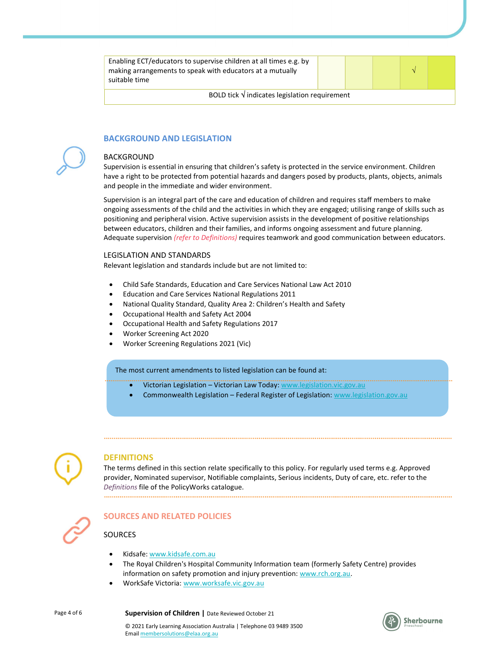| Enabling ECT/educators to supervise children at all times e.g. by<br>making arrangements to speak with educators at a mutually<br>suitable time |  |  |  |  |  |
|-------------------------------------------------------------------------------------------------------------------------------------------------|--|--|--|--|--|
| BOLD tick $\sqrt{}$ indicates legislation requirement                                                                                           |  |  |  |  |  |



# BACKGROUND AND LEGISLATION

#### BACKGROUND

Supervision is essential in ensuring that children's safety is protected in the service environment. Children have a right to be protected from potential hazards and dangers posed by products, plants, objects, animals and people in the immediate and wider environment.

Supervision is an integral part of the care and education of children and requires staff members to make ongoing assessments of the child and the activities in which they are engaged; utilising range of skills such as positioning and peripheral vision. Active supervision assists in the development of positive relationships between educators, children and their families, and informs ongoing assessment and future planning. Adequate supervision (refer to Definitions) requires teamwork and good communication between educators.

#### LEGISLATION AND STANDARDS

Relevant legislation and standards include but are not limited to:

- Child Safe Standards, Education and Care Services National Law Act 2010
- Education and Care Services National Regulations 2011
- National Quality Standard, Quality Area 2: Children's Health and Safety
- Occupational Health and Safety Act 2004
- Occupational Health and Safety Regulations 2017
- Worker Screening Act 2020
- Worker Screening Regulations 2021 (Vic)

#### The most current amendments to listed legislation can be found at:

- Victorian Legislation Victorian Law Today: www.legislation.vic.gov.au
- Commonwealth Legislation Federal Register of Legislation: www.legislation.gov.au



#### **DEFINITIONS**

The terms defined in this section relate specifically to this policy. For regularly used terms e.g. Approved provider, Nominated supervisor, Notifiable complaints, Serious incidents, Duty of care, etc. refer to the Definitions file of the PolicyWorks catalogue.



# SOURCES AND RELATED POLICIES

#### SOURCES

- Kidsafe: www.kidsafe.com.au
- The Royal Children's Hospital Community Information team (formerly Safety Centre) provides information on safety promotion and injury prevention: www.rch.org.au.
- WorkSafe Victoria: www.worksafe.vic.gov.au



Page 4 of 6 **Supervision of Children** | Date Reviewed October 21

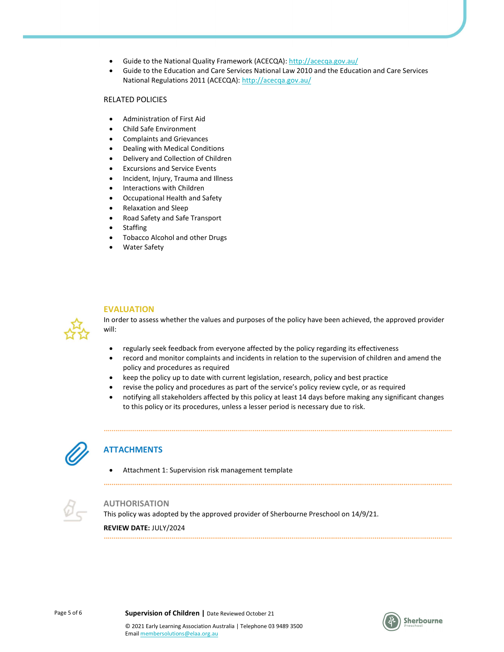- Guide to the National Quality Framework (ACECQA): http://acecqa.gov.au/
- Guide to the Education and Care Services National Law 2010 and the Education and Care Services National Regulations 2011 (ACECQA): http://acecqa.gov.au/

#### RELATED POLICIES

- Administration of First Aid
- Child Safe Environment
- Complaints and Grievances
- Dealing with Medical Conditions
- Delivery and Collection of Children
- Excursions and Service Events
- Incident, Injury, Trauma and Illness
- Interactions with Children
- Occupational Health and Safety
- Relaxation and Sleep
- Road Safety and Safe Transport
- Staffing
- Tobacco Alcohol and other Drugs
- Water Safety

#### EVALUATION

In order to assess whether the values and purposes of the policy have been achieved, the approved provider will:

- regularly seek feedback from everyone affected by the policy regarding its effectiveness
- record and monitor complaints and incidents in relation to the supervision of children and amend the policy and procedures as required
- keep the policy up to date with current legislation, research, policy and best practice
- revise the policy and procedures as part of the service's policy review cycle, or as required

 notifying all stakeholders affected by this policy at least 14 days before making any significant changes to this policy or its procedures, unless a lesser period is necessary due to risk.



# **ATTACHMENTS**

Attachment 1: Supervision risk management template



#### AUTHORISATION

This policy was adopted by the approved provider of Sherbourne Preschool on 14/9/21.

REVIEW DATE: JULY/2024